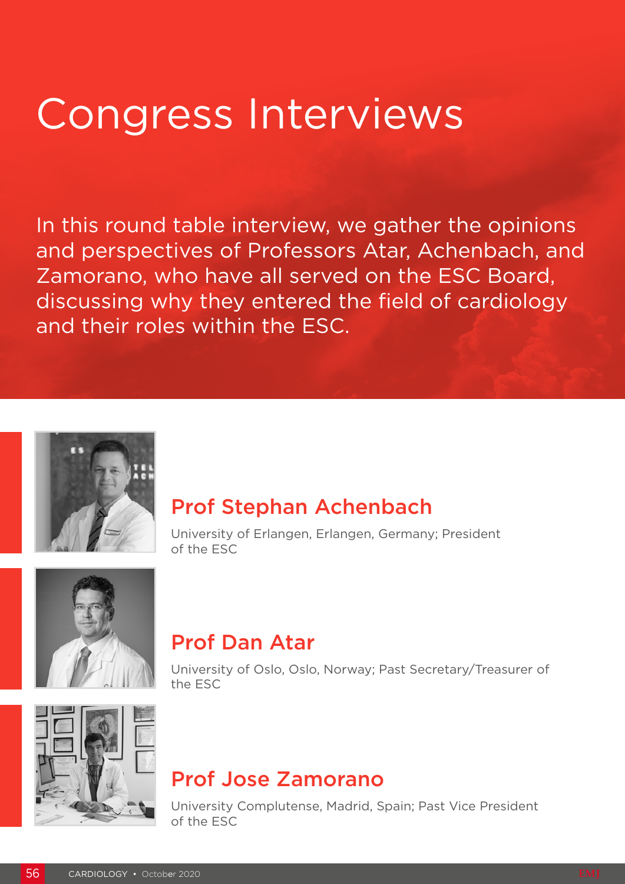# Congress Interviews

In this round table interview, we gather the opinions and perspectives of Professors Atar, Achenbach, and Zamorano, who have all served on the ESC Board, discussing why they entered the field of cardiology and their roles within the ESC.



## Prof Stephan Achenbach

University of Erlangen, Erlangen, Germany; President of the ESC



## Prof Dan Atar

University of Oslo, Oslo, Norway; Past Secretary/Treasurer of the ESC



## Prof Jose Zamorano

University Complutense, Madrid, Spain; Past Vice President of the ESC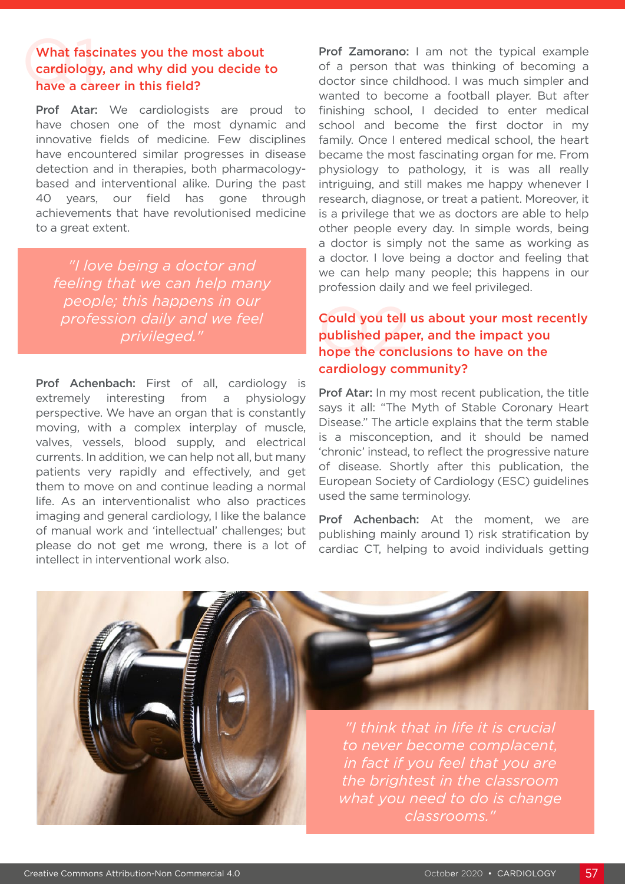#### What fasc<br>cardiolog<br>have a cal What fascinates you the most about cardiology, and why did you decide to have a career in this field?

Prof Atar: We cardiologists are proud to have chosen one of the most dynamic and innovative fields of medicine. Few disciplines have encountered similar progresses in disease detection and in therapies, both pharmacologybased and interventional alike. During the past 40 years, our field has gone through achievements that have revolutionised medicine to a great extent.

*"I love being a doctor and feeling that we can help many people; this happens in our profession daily and we feel privileged."*

Prof Achenbach: First of all, cardiology is extremely interesting from a physiology perspective. We have an organ that is constantly moving, with a complex interplay of muscle, valves, vessels, blood supply, and electrical currents. In addition, we can help not all, but many patients very rapidly and effectively, and get them to move on and continue leading a normal life. As an interventionalist who also practices imaging and general cardiology, I like the balance of manual work and 'intellectual' challenges; but please do not get me wrong, there is a lot of intellect in interventional work also.

Prof Zamorano: I am not the typical example of a person that was thinking of becoming a doctor since childhood. I was much simpler and wanted to become a football player. But after finishing school, I decided to enter medical school and become the first doctor in my family. Once I entered medical school, the heart became the most fascinating organ for me. From physiology to pathology, it is was all really intriguing, and still makes me happy whenever I research, diagnose, or treat a patient. Moreover, it is a privilege that we as doctors are able to help other people every day. In simple words, being a doctor is simply not the same as working as a doctor. I love being a doctor and feeling that we can help many people; this happens in our profession daily and we feel privileged.

#### Could you tell<br>published pap<br>hope the conc Could you tell us about your most recently published paper, and the impact you hope the conclusions to have on the cardiology community?

Prof Atar: In my most recent publication, the title says it all: "The Myth of Stable Coronary Heart Disease." The article explains that the term stable is a misconception, and it should be named 'chronic' instead, to reflect the progressive nature of disease. Shortly after this publication, the European Society of Cardiology (ESC) guidelines used the same terminology.

Prof Achenbach: At the moment, we are publishing mainly around 1) risk stratification by cardiac CT, helping to avoid individuals getting

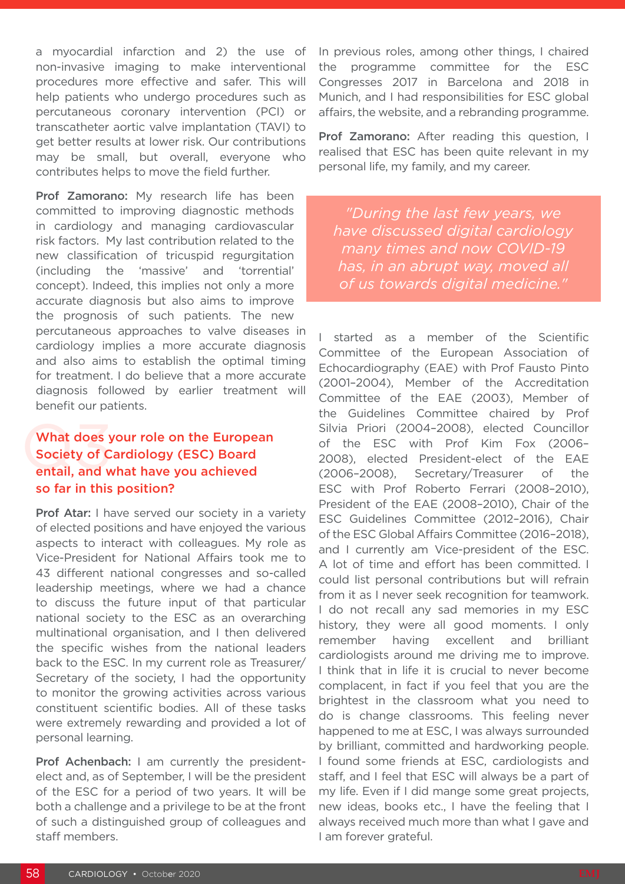a myocardial infarction and 2) the use of non-invasive imaging to make interventional procedures more effective and safer. This will help patients who undergo procedures such as percutaneous coronary intervention (PCI) or transcatheter aortic valve implantation (TAVI) to get better results at lower risk. Our contributions may be small, but overall, everyone who contributes helps to move the field further.

Prof Zamorano: My research life has been committed to improving diagnostic methods in cardiology and managing cardiovascular risk factors. My last contribution related to the new classification of tricuspid regurgitation (including the 'massive' and 'torrential' concept). Indeed, this implies not only a more accurate diagnosis but also aims to improve the prognosis of such patients. The new percutaneous approaches to valve diseases in cardiology implies a more accurate diagnosis and also aims to establish the optimal timing for treatment. I do believe that a more accurate diagnosis followed by earlier treatment will benefit our patients.

#### What does<br>Society of C<br>entail, and w What does your role on the European Society of Cardiology (ESC) Board entail, and what have you achieved so far in this position?

Prof Atar: I have served our society in a variety of elected positions and have enjoyed the various aspects to interact with colleagues. My role as Vice-President for National Affairs took me to 43 different national congresses and so-called leadership meetings, where we had a chance to discuss the future input of that particular national society to the ESC as an overarching multinational organisation, and I then delivered the specific wishes from the national leaders back to the ESC. In my current role as Treasurer/ Secretary of the society, I had the opportunity to monitor the growing activities across various constituent scientific bodies. All of these tasks were extremely rewarding and provided a lot of personal learning.

Prof Achenbach: I am currently the presidentelect and, as of September, I will be the president of the ESC for a period of two years. It will be both a challenge and a privilege to be at the front of such a distinguished group of colleagues and staff members.

In previous roles, among other things, I chaired the programme committee for the ESC Congresses 2017 in Barcelona and 2018 in Munich, and I had responsibilities for ESC global affairs, the website, and a rebranding programme.

Prof Zamorano: After reading this question, I realised that ESC has been quite relevant in my personal life, my family, and my career.

*"During the last few years, we have discussed digital cardiology many times and now COVID-19 has, in an abrupt way, moved all of us towards digital medicine."*

I started as a member of the Scientific Committee of the European Association of Echocardiography (EAE) with Prof Fausto Pinto (2001–2004), Member of the Accreditation Committee of the EAE (2003), Member of the Guidelines Committee chaired by Prof Silvia Priori (2004–2008), elected Councillor of the ESC with Prof Kim Fox (2006– 2008), elected President-elect of the EAE (2006–2008), Secretary/Treasurer of the ESC with Prof Roberto Ferrari (2008–2010), President of the EAE (2008–2010), Chair of the ESC Guidelines Committee (2012–2016), Chair of the ESC Global Affairs Committee (2016–2018), and I currently am Vice-president of the ESC. A lot of time and effort has been committed. I could list personal contributions but will refrain from it as I never seek recognition for teamwork. I do not recall any sad memories in my ESC history, they were all good moments. I only remember having excellent and brilliant cardiologists around me driving me to improve. I think that in life it is crucial to never become complacent, in fact if you feel that you are the brightest in the classroom what you need to do is change classrooms. This feeling never happened to me at ESC, I was always surrounded by brilliant, committed and hardworking people. I found some friends at ESC, cardiologists and staff, and I feel that ESC will always be a part of my life. Even if I did mange some great projects, new ideas, books etc., I have the feeling that I always received much more than what I gave and I am forever grateful.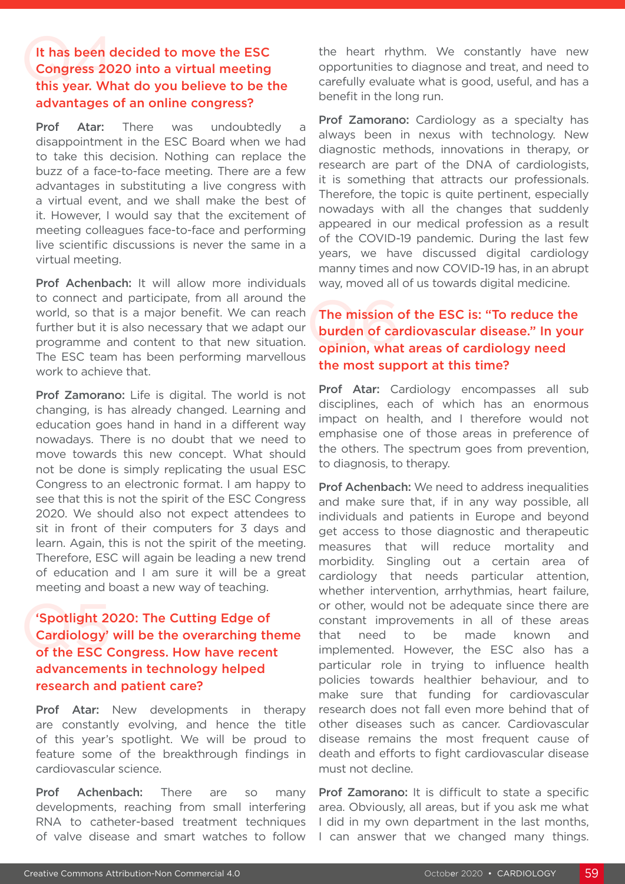### It has been decided to move the ESC<br>Congress 2020 into a virtual meeting<br>this year. What do you believe to be the It has been decided to move the ESC Congress 2020 into a virtual meeting advantages of an online congress?

**Prof Atar:** There was undoubtedly disappointment in the ESC Board when we had to take this decision. Nothing can replace the buzz of a face-to-face meeting. There are a few advantages in substituting a live congress with a virtual event, and we shall make the best of it. However, I would say that the excitement of meeting colleagues face-to-face and performing live scientific discussions is never the same in a virtual meeting.

Prof Achenbach: It will allow more individuals to connect and participate, from all around the world, so that is a major benefit. We can reach further but it is also necessary that we adapt our programme and content to that new situation. The ESC team has been performing marvellous work to achieve that.

Prof Zamorano: Life is digital. The world is not changing, is has already changed. Learning and education goes hand in hand in a different way nowadays. There is no doubt that we need to move towards this new concept. What should not be done is simply replicating the usual ESC Congress to an electronic format. I am happy to see that this is not the spirit of the ESC Congress 2020. We should also not expect attendees to sit in front of their computers for 3 days and learn. Again, this is not the spirit of the meeting. Therefore, ESC will again be leading a new trend of education and I am sure it will be a great meeting and boast a new way of teaching.

#### 'Spotlight 20<br>Cardiology'<br>of the ESC C 'Spotlight 2020: The Cutting Edge of Cardiology' will be the overarching theme of the ESC Congress. How have recent advancements in technology helped research and patient care?

Prof Atar: New developments in therapy are constantly evolving, and hence the title of this year's spotlight. We will be proud to feature some of the breakthrough findings in cardiovascular science.

Prof Achenbach: There are so many developments, reaching from small interfering RNA to catheter-based treatment techniques of valve disease and smart watches to follow the heart rhythm. We constantly have new opportunities to diagnose and treat, and need to carefully evaluate what is good, useful, and has a benefit in the long run.

**Prof Zamorano:** Cardiology as a specialty has always been in nexus with technology. New diagnostic methods, innovations in therapy, or research are part of the DNA of cardiologists, it is something that attracts our professionals. Therefore, the topic is quite pertinent, especially nowadays with all the changes that suddenly appeared in our medical profession as a result of the COVID-19 pandemic. During the last few years, we have discussed digital cardiology manny times and now COVID-19 has, in an abrupt way, moved all of us towards digital medicine.

#### The mission<br>burden of ca<br>opinion, wha The mission of the ESC is: "To reduce the burden of cardiovascular disease." In your opinion, what areas of cardiology need the most support at this time?

Prof Atar: Cardiology encompasses all sub disciplines, each of which has an enormous impact on health, and I therefore would not emphasise one of those areas in preference of the others. The spectrum goes from prevention, to diagnosis, to therapy.

Prof Achenbach: We need to address inequalities and make sure that, if in any way possible, all individuals and patients in Europe and beyond get access to those diagnostic and therapeutic measures that will reduce mortality and morbidity. Singling out a certain area of cardiology that needs particular attention, whether intervention, arrhythmias, heart failure, or other, would not be adequate since there are constant improvements in all of these areas that need to be made known and implemented. However, the ESC also has a particular role in trying to influence health policies towards healthier behaviour, and to make sure that funding for cardiovascular research does not fall even more behind that of other diseases such as cancer. Cardiovascular disease remains the most frequent cause of death and efforts to fight cardiovascular disease must not decline.

Prof Zamorano: It is difficult to state a specific area. Obviously, all areas, but if you ask me what I did in my own department in the last months, I can answer that we changed many things.